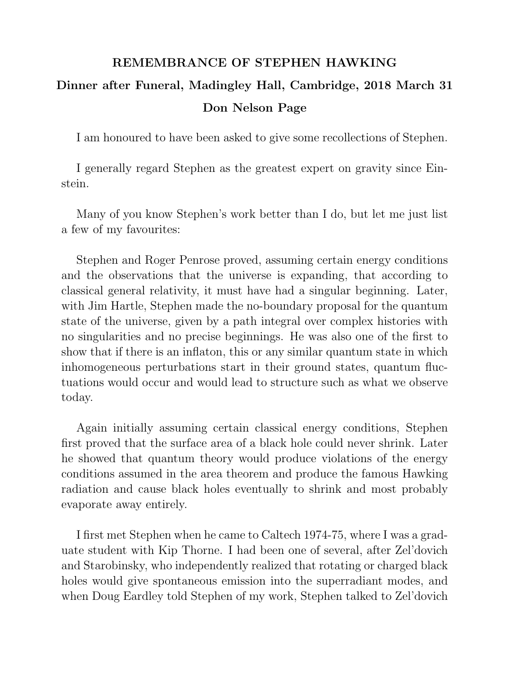## REMEMBRANCE OF STEPHEN HAWKING

## Dinner after Funeral, Madingley Hall, Cambridge, 2018 March 31 Don Nelson Page

I am honoured to have been asked to give some recollections of Stephen.

I generally regard Stephen as the greatest expert on gravity since Einstein.

Many of you know Stephen's work better than I do, but let me just list a few of my favourites:

Stephen and Roger Penrose proved, assuming certain energy conditions and the observations that the universe is expanding, that according to classical general relativity, it must have had a singular beginning. Later, with Jim Hartle, Stephen made the no-boundary proposal for the quantum state of the universe, given by a path integral over complex histories with no singularities and no precise beginnings. He was also one of the first to show that if there is an inflaton, this or any similar quantum state in which inhomogeneous perturbations start in their ground states, quantum fluctuations would occur and would lead to structure such as what we observe today.

Again initially assuming certain classical energy conditions, Stephen first proved that the surface area of a black hole could never shrink. Later he showed that quantum theory would produce violations of the energy conditions assumed in the area theorem and produce the famous Hawking radiation and cause black holes eventually to shrink and most probably evaporate away entirely.

I first met Stephen when he came to Caltech 1974-75, where I was a graduate student with Kip Thorne. I had been one of several, after Zel'dovich and Starobinsky, who independently realized that rotating or charged black holes would give spontaneous emission into the superradiant modes, and when Doug Eardley told Stephen of my work, Stephen talked to Zel'dovich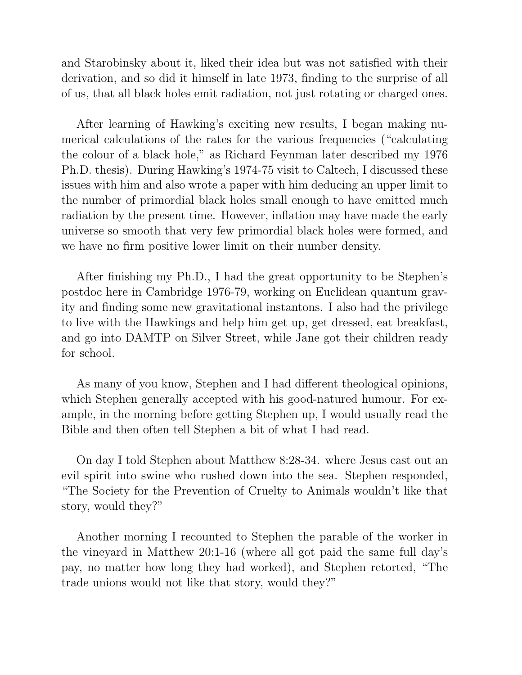and Starobinsky about it, liked their idea but was not satisfied with their derivation, and so did it himself in late 1973, finding to the surprise of all of us, that all black holes emit radiation, not just rotating or charged ones.

After learning of Hawking's exciting new results, I began making numerical calculations of the rates for the various frequencies ("calculating the colour of a black hole," as Richard Feynman later described my 1976 Ph.D. thesis). During Hawking's 1974-75 visit to Caltech, I discussed these issues with him and also wrote a paper with him deducing an upper limit to the number of primordial black holes small enough to have emitted much radiation by the present time. However, inflation may have made the early universe so smooth that very few primordial black holes were formed, and we have no firm positive lower limit on their number density.

After finishing my Ph.D., I had the great opportunity to be Stephen's postdoc here in Cambridge 1976-79, working on Euclidean quantum gravity and finding some new gravitational instantons. I also had the privilege to live with the Hawkings and help him get up, get dressed, eat breakfast, and go into DAMTP on Silver Street, while Jane got their children ready for school.

As many of you know, Stephen and I had different theological opinions, which Stephen generally accepted with his good-natured humour. For example, in the morning before getting Stephen up, I would usually read the Bible and then often tell Stephen a bit of what I had read.

On day I told Stephen about Matthew 8:28-34. where Jesus cast out an evil spirit into swine who rushed down into the sea. Stephen responded, "The Society for the Prevention of Cruelty to Animals wouldn't like that story, would they?"

Another morning I recounted to Stephen the parable of the worker in the vineyard in Matthew 20:1-16 (where all got paid the same full day's pay, no matter how long they had worked), and Stephen retorted, "The trade unions would not like that story, would they?"